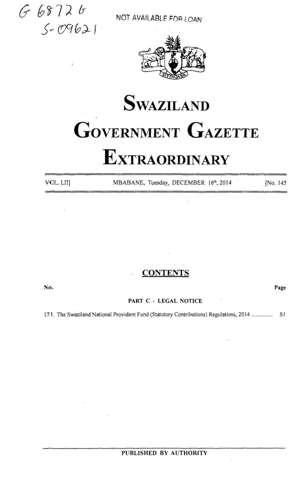$668726$ <br> $5.09621$ 

NOT AVAILABLE FOR LOAN



# **SWAZILAND GOVERNMENT GAZETTE EXTRAORDINARY**

VOL. LII]

MBABANE, Tuesday, DECEMBER 16th, 2014

(No. 145

Page

### **CONTENTS**

No.

#### PART C - LEGAL NOTICE

171. The Swaziland National Provident Fund (Statutory Contributions) Regulations, 2014 .............. S1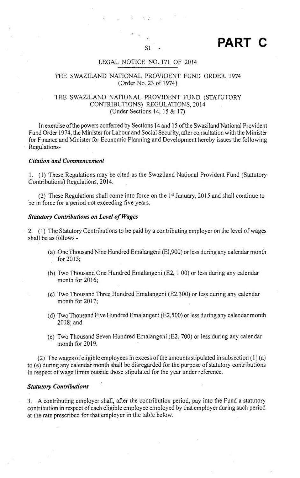## $\sum_{\rm SI}$  PART C

#### LEGAL NOTICE NO. <sup>171</sup> OF 2014

#### THE SWAZILAND NATIONAL PROVIDENT FUND ORDER,1974 (Order No. 23 of 1974)

#### THE SWAZILAND NATIONAL PROVIDENT FUND (STATUTORY CONTRIBUTIONS) REGULATIONS, 2014 (Under Sections 14, <sup>15</sup> & 17)

In exercise ofthe powers conferred by Sections 14 and 15 ofthe Swaziland National Provident Fund Order 1974, the Minister for Labour and Social Security, after consultation with the Minister for Finance and Minister for Economic Planning and Development hereby issues the following Regulations-

#### Citation and Commencement

1. (1) These Regulations may be cited as the Swaziland National Provident Fund (Statutory Contributions) Regulations, 2014.

(2) These Regulations shall come into force on the 1\* January, 2015 and shall continue to be in force for a period not exceeding five years.

#### Statutory Contributions on Level of Wages

2. (1) The Statutory Contributions to be paid by <sup>a</sup> contributing employer on the level of wages shall be as follows -

- (a) One Thousand Nine Hundred Emalangeni (El,900) or less during any calendar month for 2015;
- (b) Two Thousand One Hundred Emalangeni (E2, <sup>1</sup> 00) or fess during any calendar month for 2016;
- (c) Two Thousand Three Hundred Emalangeni (E2,300) or Jess during any calendar month for 2017;
- (d) Two Thousand Five Hundred Emalangeni ( $E2,500$ ) or less during any calendar month 2018; and
- (e) Two Thousand Seven Hundred Emalangeni (E2, 700) or Jess during any calendar month for 2019.

(2) The wages of eligible employees in excess of the amounts stipulated in subsection  $(1)(a)$ to (e) during any calendar month shall be disregarded for the purpose of statutory contributions in respect of wage limits outside those stipulated for the year under reference.

#### Statutory Contributions

3. A contributing employer shall, after the contribution period, pay into the Fund a statutory contribution in respect of each eligible employee employed by that employer during such period at the rate prescribed for that employer in the table below.